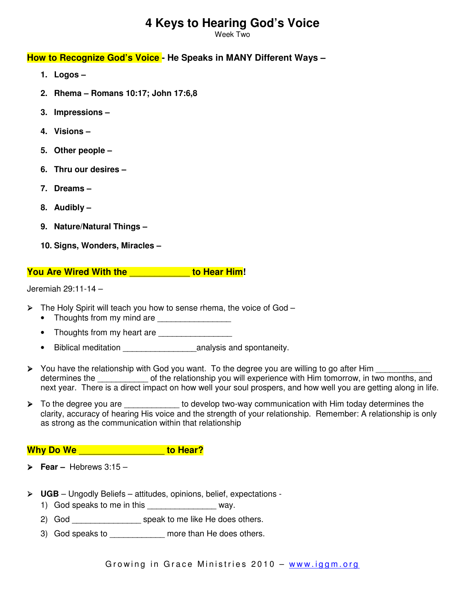# **4 Keys to Hearing God's Voice**

Week Two

### **How to Recognize God's Voice - He Speaks in MANY Different Ways –**

- **1. Logos**
- **2. Rhema Romans 10:17; John 17:6,8**
- **3. Impressions**
- **4. Visions**
- **5. Other people**
- **6. Thru our desires**
- **7. Dreams –**
- **8. Audibly**
- **9. Nature/Natural Things**
- **10. Signs, Wonders, Miracles**

### **You Are Wired With the** \_\_\_\_\_\_\_\_\_\_\_\_ **to Hear Him!**

Jeremiah 29:11-14 –

- $\triangleright$  The Holy Spirit will teach you how to sense rhema, the voice of God
	- Thoughts from my mind are
	- Thoughts from my heart are \_\_\_\_\_\_\_\_\_\_\_\_\_
	- Biblical meditation **business** analysis and spontaneity.
- ▶ You have the relationship with God you want. To the degree you are willing to go after Him determines the **come of the relationship you will experience** with Him tomorrow, in two months, and next year. There is a direct impact on how well your soul prospers, and how well you are getting along in life.
- To the degree you are \_\_\_\_\_\_\_\_\_\_\_\_\_ to develop two-way communication with Him today determines the clarity, accuracy of hearing His voice and the strength of your relationship. Remember: A relationship is only as strong as the communication within that relationship

## **Why Do We** \_\_\_\_\_\_\_\_\_\_\_\_\_\_\_\_\_ **to Hear?**

- **Fear –** Hebrews 3:15 –
- **UGB**  Ungodly Beliefs attitudes, opinions, belief, expectations
	- 1) God speaks to me in this way.
	- 2) God \_\_\_\_\_\_\_\_\_\_\_\_\_\_\_\_\_\_ speak to me like He does others.
	- 3) God speaks to more than He does others.